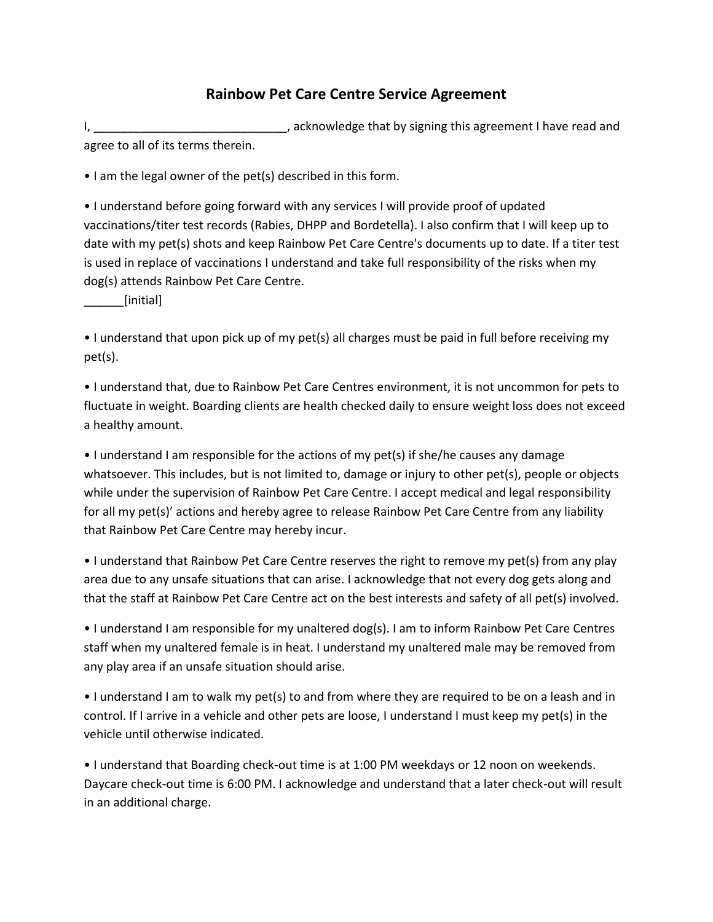## **Rainbow Pet Care Centre Service Agreement**

I, **I** acknowledge that by signing this agreement I have read and in the same of the same of the same of the same of the same of the same of the same of the same of the same of the same of the same of the same of the same agree to all of its terms therein.

• I am the legal owner of the pet(s) described in this form.

• I understand before going forward with any services I will provide proof of updated vaccinations/titer test records (Rabies, DHPP and Bordetella). I also confirm that I will keep up to date with my pet(s) shots and keep Rainbow Pet Care Centre's documents up to date. If a titer test is used in replace of vaccinations I understand and take full responsibility of the risks when my dog(s) attends Rainbow Pet Care Centre.

\_\_\_\_\_\_[initial]

• I understand that upon pick up of my pet(s) all charges must be paid in full before receiving my pet(s).

• I understand that, due to Rainbow Pet Care Centres environment, it is not uncommon for pets to fluctuate in weight. Boarding clients are health checked daily to ensure weight loss does not exceed a healthy amount.

• I understand I am responsible for the actions of my pet(s) if she/he causes any damage whatsoever. This includes, but is not limited to, damage or injury to other pet(s), people or objects while under the supervision of Rainbow Pet Care Centre. I accept medical and legal responsibility for all my pet(s)' actions and hereby agree to release Rainbow Pet Care Centre from any liability that Rainbow Pet Care Centre may hereby incur.

• I understand that Rainbow Pet Care Centre reserves the right to remove my pet(s) from any play area due to any unsafe situations that can arise. I acknowledge that not every dog gets along and that the staff at Rainbow Pet Care Centre act on the best interests and safety of all pet(s) involved.

• I understand I am responsible for my unaltered dog(s). I am to inform Rainbow Pet Care Centres staff when my unaltered female is in heat. I understand my unaltered male may be removed from any play area if an unsafe situation should arise.

• I understand I am to walk my pet(s) to and from where they are required to be on a leash and in control. If I arrive in a vehicle and other pets are loose, I understand I must keep my pet(s) in the vehicle until otherwise indicated.

• I understand that Boarding check-out time is at 1:00 PM weekdays or 12 noon on weekends. Daycare check-out time is 6:00 PM. I acknowledge and understand that a later check-out will result in an additional charge.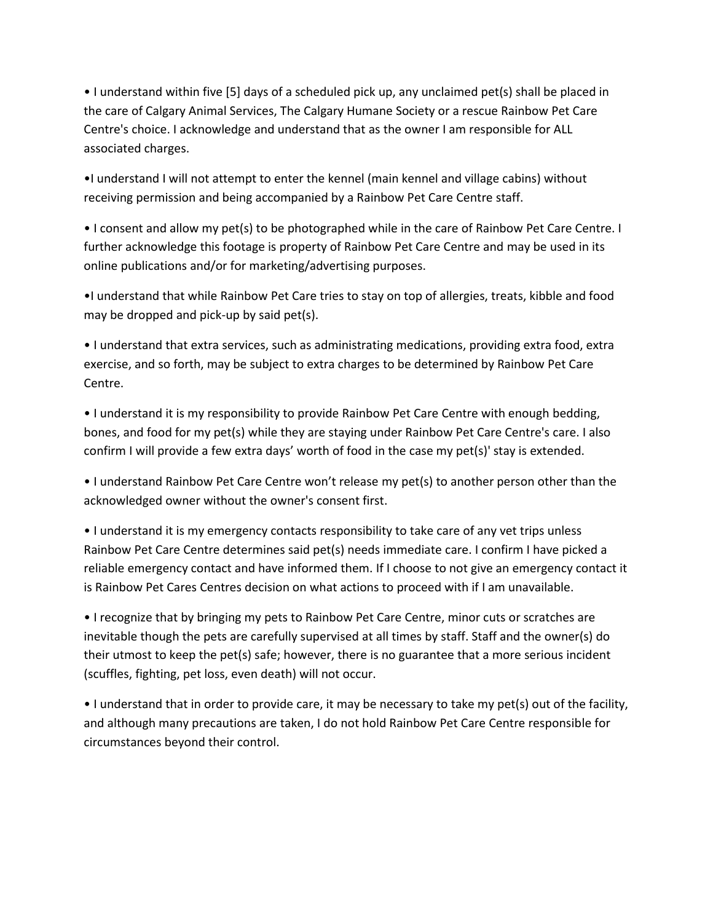• I understand within five [5] days of a scheduled pick up, any unclaimed pet(s) shall be placed in the care of Calgary Animal Services, The Calgary Humane Society or a rescue Rainbow Pet Care Centre's choice. I acknowledge and understand that as the owner I am responsible for ALL associated charges.

•I understand I will not attempt to enter the kennel (main kennel and village cabins) without receiving permission and being accompanied by a Rainbow Pet Care Centre staff.

• I consent and allow my pet(s) to be photographed while in the care of Rainbow Pet Care Centre. I further acknowledge this footage is property of Rainbow Pet Care Centre and may be used in its online publications and/or for marketing/advertising purposes.

•I understand that while Rainbow Pet Care tries to stay on top of allergies, treats, kibble and food may be dropped and pick-up by said pet(s).

• I understand that extra services, such as administrating medications, providing extra food, extra exercise, and so forth, may be subject to extra charges to be determined by Rainbow Pet Care Centre.

• I understand it is my responsibility to provide Rainbow Pet Care Centre with enough bedding, bones, and food for my pet(s) while they are staying under Rainbow Pet Care Centre's care. I also confirm I will provide a few extra days' worth of food in the case my pet(s)' stay is extended.

• I understand Rainbow Pet Care Centre won't release my pet(s) to another person other than the acknowledged owner without the owner's consent first.

• I understand it is my emergency contacts responsibility to take care of any vet trips unless Rainbow Pet Care Centre determines said pet(s) needs immediate care. I confirm I have picked a reliable emergency contact and have informed them. If I choose to not give an emergency contact it is Rainbow Pet Cares Centres decision on what actions to proceed with if I am unavailable.

• I recognize that by bringing my pets to Rainbow Pet Care Centre, minor cuts or scratches are inevitable though the pets are carefully supervised at all times by staff. Staff and the owner(s) do their utmost to keep the pet(s) safe; however, there is no guarantee that a more serious incident (scuffles, fighting, pet loss, even death) will not occur.

• I understand that in order to provide care, it may be necessary to take my pet(s) out of the facility, and although many precautions are taken, I do not hold Rainbow Pet Care Centre responsible for circumstances beyond their control.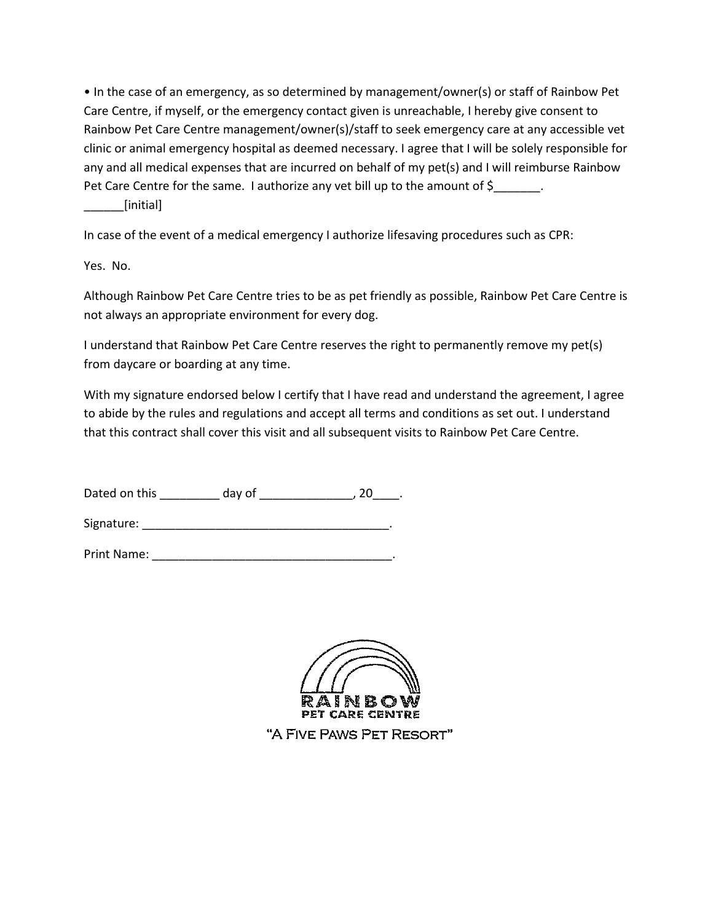• In the case of an emergency, as so determined by management/owner(s) or staff of Rainbow Pet Care Centre, if myself, or the emergency contact given is unreachable, I hereby give consent to Rainbow Pet Care Centre management/owner(s)/staff to seek emergency care at any accessible vet clinic or animal emergency hospital as deemed necessary. I agree that I will be solely responsible for any and all medical expenses that are incurred on behalf of my pet(s) and I will reimburse Rainbow Pet Care Centre for the same. I authorize any vet bill up to the amount of \$

[initial]

In case of the event of a medical emergency I authorize lifesaving procedures such as CPR:

Yes. No.

Although Rainbow Pet Care Centre tries to be as pet friendly as possible, Rainbow Pet Care Centre is not always an appropriate environment for every dog.

I understand that Rainbow Pet Care Centre reserves the right to permanently remove my pet(s) from daycare or boarding at any time.

With my signature endorsed below I certify that I have read and understand the agreement, I agree to abide by the rules and regulations and accept all terms and conditions as set out. I understand that this contract shall cover this visit and all subsequent visits to Rainbow Pet Care Centre.

| Dated on this | day of |  |  |  |
|---------------|--------|--|--|--|
|---------------|--------|--|--|--|

Signature: \_\_\_\_\_\_\_\_\_\_\_\_\_\_\_\_\_\_\_\_\_\_\_\_\_\_\_\_\_\_\_\_\_\_\_\_\_.

Print Name: \_\_\_\_\_\_\_\_\_\_\_\_\_\_\_\_\_\_\_\_\_\_\_\_\_\_\_\_\_\_\_\_\_\_\_\_.



"A FIVE PAWS PET RESORT"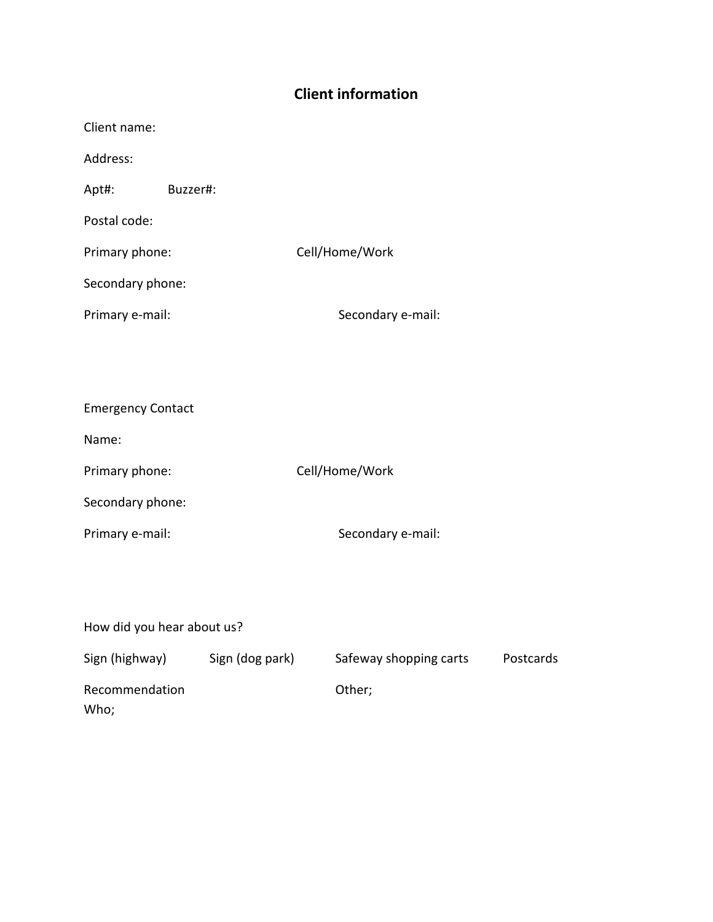## **Client information**

| Buzzer#: |                                                       |
|----------|-------------------------------------------------------|
|          |                                                       |
|          | Cell/Home/Work                                        |
|          |                                                       |
|          | Secondary e-mail:                                     |
|          |                                                       |
|          |                                                       |
|          | Primary phone:<br>Secondary phone:<br>Primary e-mail: |

| <b>Emergency Contact</b> |                   |
|--------------------------|-------------------|
| Name:                    |                   |
| Primary phone:           | Cell/Home/Work    |
| Secondary phone:         |                   |
| Primary e-mail:          | Secondary e-mail: |

| How did you hear about us? |                 |                        |           |  |  |  |
|----------------------------|-----------------|------------------------|-----------|--|--|--|
| Sign (highway)             | Sign (dog park) | Safeway shopping carts | Postcards |  |  |  |
| Recommendation<br>Who;     |                 | Other;                 |           |  |  |  |